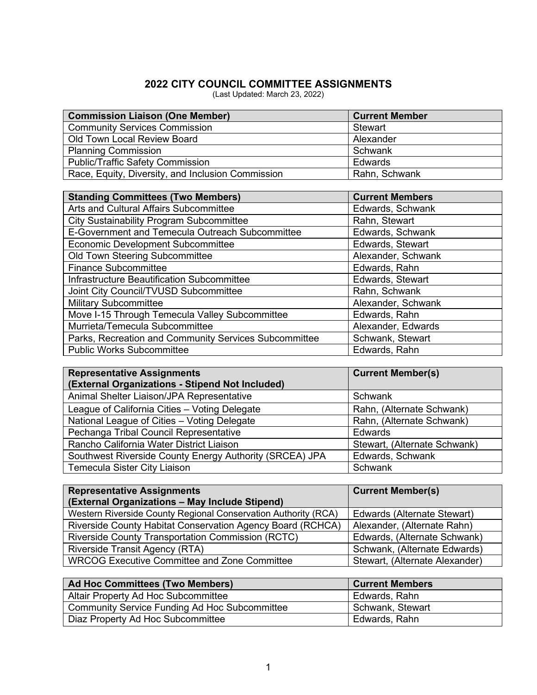## **2022 CITY COUNCIL COMMITTEE ASSIGNMENTS**

(Last Updated: March 23, 2022)

| <b>Commission Liaison (One Member)</b>            | <b>Current Member</b> |
|---------------------------------------------------|-----------------------|
| <b>Community Services Commission</b>              | Stewart               |
| Old Town Local Review Board                       | Alexander             |
| <b>Planning Commission</b>                        | Schwank               |
| <b>Public/Traffic Safety Commission</b>           | Edwards               |
| Race, Equity, Diversity, and Inclusion Commission | Rahn, Schwank         |

| <b>Standing Committees (Two Members)</b>              | <b>Current Members</b> |
|-------------------------------------------------------|------------------------|
| Arts and Cultural Affairs Subcommittee                | Edwards, Schwank       |
| <b>City Sustainability Program Subcommittee</b>       | Rahn, Stewart          |
| E-Government and Temecula Outreach Subcommittee       | Edwards, Schwank       |
| <b>Economic Development Subcommittee</b>              | Edwards, Stewart       |
| Old Town Steering Subcommittee                        | Alexander, Schwank     |
| <b>Finance Subcommittee</b>                           | Edwards, Rahn          |
| Infrastructure Beautification Subcommittee            | Edwards, Stewart       |
| Joint City Council/TVUSD Subcommittee                 | Rahn, Schwank          |
| <b>Military Subcommittee</b>                          | Alexander, Schwank     |
| Move I-15 Through Temecula Valley Subcommittee        | Edwards, Rahn          |
| Murrieta/Temecula Subcommittee                        | Alexander, Edwards     |
| Parks, Recreation and Community Services Subcommittee | Schwank, Stewart       |
| <b>Public Works Subcommittee</b>                      | Edwards, Rahn          |

| <b>Representative Assignments</b><br>(External Organizations - Stipend Not Included) | <b>Current Member(s)</b>     |
|--------------------------------------------------------------------------------------|------------------------------|
| Animal Shelter Liaison/JPA Representative                                            | Schwank                      |
| League of California Cities - Voting Delegate                                        | Rahn, (Alternate Schwank)    |
| National League of Cities - Voting Delegate                                          | Rahn, (Alternate Schwank)    |
| Pechanga Tribal Council Representative                                               | Edwards                      |
| Rancho California Water District Liaison                                             | Stewart, (Alternate Schwank) |
| Southwest Riverside County Energy Authority (SRCEA) JPA                              | Edwards, Schwank             |
| <b>Temecula Sister City Liaison</b>                                                  | Schwank                      |

| <b>Representative Assignments</b>                              | <b>Current Member(s)</b>       |
|----------------------------------------------------------------|--------------------------------|
| (External Organizations - May Include Stipend)                 |                                |
| Western Riverside County Regional Conservation Authority (RCA) | Edwards (Alternate Stewart)    |
| Riverside County Habitat Conservation Agency Board (RCHCA)     | Alexander, (Alternate Rahn)    |
| <b>Riverside County Transportation Commission (RCTC)</b>       | Edwards, (Alternate Schwank)   |
| Riverside Transit Agency (RTA)                                 | Schwank, (Alternate Edwards)   |
| <b>WRCOG Executive Committee and Zone Committee</b>            | Stewart, (Alternate Alexander) |

| Ad Hoc Committees (Two Members)               | <b>Current Members</b> |
|-----------------------------------------------|------------------------|
| Altair Property Ad Hoc Subcommittee           | Edwards, Rahn          |
| Community Service Funding Ad Hoc Subcommittee | Schwank, Stewart       |
| Diaz Property Ad Hoc Subcommittee             | Edwards, Rahn          |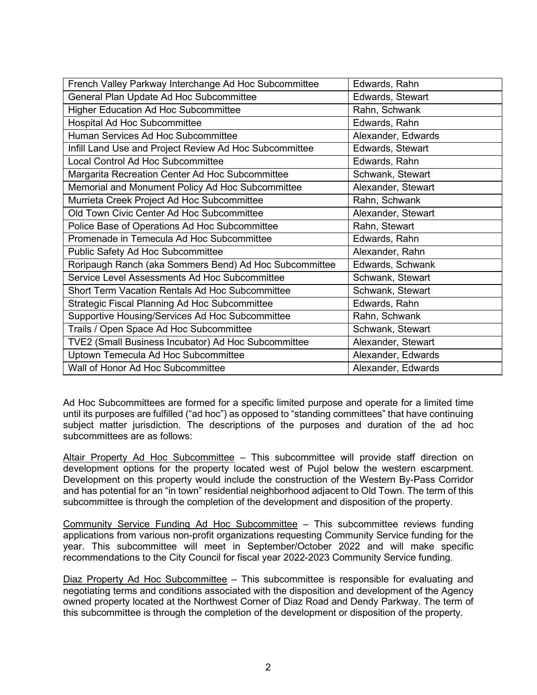| French Valley Parkway Interchange Ad Hoc Subcommittee  | Edwards, Rahn      |
|--------------------------------------------------------|--------------------|
| General Plan Update Ad Hoc Subcommittee                | Edwards, Stewart   |
| Higher Education Ad Hoc Subcommittee                   | Rahn, Schwank      |
| Hospital Ad Hoc Subcommittee                           | Edwards, Rahn      |
| Human Services Ad Hoc Subcommittee                     | Alexander, Edwards |
| Infill Land Use and Project Review Ad Hoc Subcommittee | Edwards, Stewart   |
| Local Control Ad Hoc Subcommittee                      | Edwards, Rahn      |
| Margarita Recreation Center Ad Hoc Subcommittee        | Schwank, Stewart   |
| Memorial and Monument Policy Ad Hoc Subcommittee       | Alexander, Stewart |
| Murrieta Creek Project Ad Hoc Subcommittee             | Rahn, Schwank      |
| Old Town Civic Center Ad Hoc Subcommittee              | Alexander, Stewart |
| Police Base of Operations Ad Hoc Subcommittee          | Rahn, Stewart      |
| Promenade in Temecula Ad Hoc Subcommittee              | Edwards, Rahn      |
| Public Safety Ad Hoc Subcommittee                      | Alexander, Rahn    |
| Roripaugh Ranch (aka Sommers Bend) Ad Hoc Subcommittee | Edwards, Schwank   |
| Service Level Assessments Ad Hoc Subcommittee          | Schwank, Stewart   |
| <b>Short Term Vacation Rentals Ad Hoc Subcommittee</b> | Schwank, Stewart   |
| <b>Strategic Fiscal Planning Ad Hoc Subcommittee</b>   | Edwards, Rahn      |
| Supportive Housing/Services Ad Hoc Subcommittee        | Rahn, Schwank      |
| Trails / Open Space Ad Hoc Subcommittee                | Schwank, Stewart   |
| TVE2 (Small Business Incubator) Ad Hoc Subcommittee    | Alexander, Stewart |
| Uptown Temecula Ad Hoc Subcommittee                    | Alexander, Edwards |
| Wall of Honor Ad Hoc Subcommittee                      | Alexander, Edwards |

Ad Hoc Subcommittees are formed for a specific limited purpose and operate for a limited time until its purposes are fulfilled ("ad hoc") as opposed to "standing committees" that have continuing subject matter jurisdiction. The descriptions of the purposes and duration of the ad hoc subcommittees are as follows:

Altair Property Ad Hoc Subcommittee - This subcommittee will provide staff direction on development options for the property located west of Pujol below the western escarpment. Development on this property would include the construction of the Western By-Pass Corridor and has potential for an "in town" residential neighborhood adjacent to Old Town. The term of this subcommittee is through the completion of the development and disposition of the property.

Community Service Funding Ad Hoc Subcommittee – This subcommittee reviews funding applications from various non-profit organizations requesting Community Service funding for the year. This subcommittee will meet in September/October 2022 and will make specific recommendations to the City Council for fiscal year 2022-2023 Community Service funding.

Diaz Property Ad Hoc Subcommittee – This subcommittee is responsible for evaluating and negotiating terms and conditions associated with the disposition and development of the Agency owned property located at the Northwest Corner of Diaz Road and Dendy Parkway. The term of this subcommittee is through the completion of the development or disposition of the property.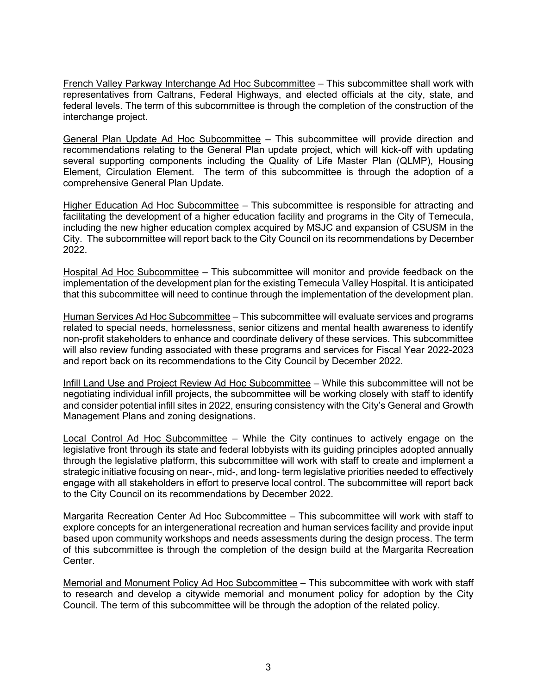French Valley Parkway Interchange Ad Hoc Subcommittee – This subcommittee shall work with representatives from Caltrans, Federal Highways, and elected officials at the city, state, and federal levels. The term of this subcommittee is through the completion of the construction of the interchange project.

General Plan Update Ad Hoc Subcommittee – This subcommittee will provide direction and recommendations relating to the General Plan update project, which will kick-off with updating several supporting components including the Quality of Life Master Plan (QLMP), Housing Element, Circulation Element. The term of this subcommittee is through the adoption of a comprehensive General Plan Update.

Higher Education Ad Hoc Subcommittee – This subcommittee is responsible for attracting and facilitating the development of a higher education facility and programs in the City of Temecula, including the new higher education complex acquired by MSJC and expansion of CSUSM in the City. The subcommittee will report back to the City Council on its recommendations by December 2022.

Hospital Ad Hoc Subcommittee – This subcommittee will monitor and provide feedback on the implementation of the development plan for the existing Temecula Valley Hospital. It is anticipated that this subcommittee will need to continue through the implementation of the development plan.

Human Services Ad Hoc Subcommittee – This subcommittee will evaluate services and programs related to special needs, homelessness, senior citizens and mental health awareness to identify non-profit stakeholders to enhance and coordinate delivery of these services. This subcommittee will also review funding associated with these programs and services for Fiscal Year 2022-2023 and report back on its recommendations to the City Council by December 2022.

Infill Land Use and Project Review Ad Hoc Subcommittee – While this subcommittee will not be negotiating individual infill projects, the subcommittee will be working closely with staff to identify and consider potential infill sites in 2022, ensuring consistency with the City's General and Growth Management Plans and zoning designations.

Local Control Ad Hoc Subcommittee – While the City continues to actively engage on the legislative front through its state and federal lobbyists with its guiding principles adopted annually through the legislative platform, this subcommittee will work with staff to create and implement a strategic initiative focusing on near-, mid-, and long- term legislative priorities needed to effectively engage with all stakeholders in effort to preserve local control. The subcommittee will report back to the City Council on its recommendations by December 2022.

Margarita Recreation Center Ad Hoc Subcommittee – This subcommittee will work with staff to explore concepts for an intergenerational recreation and human services facility and provide input based upon community workshops and needs assessments during the design process. The term of this subcommittee is through the completion of the design build at the Margarita Recreation Center.

Memorial and Monument Policy Ad Hoc Subcommittee – This subcommittee with work with staff to research and develop a citywide memorial and monument policy for adoption by the City Council. The term of this subcommittee will be through the adoption of the related policy.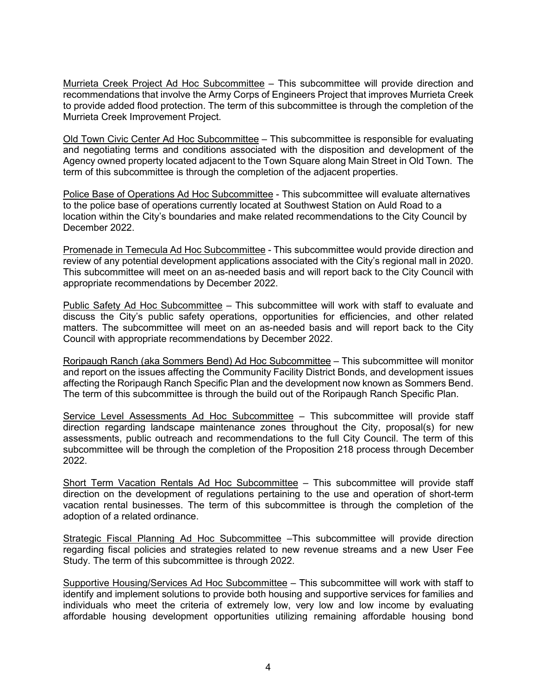Murrieta Creek Project Ad Hoc Subcommittee – This subcommittee will provide direction and recommendations that involve the Army Corps of Engineers Project that improves Murrieta Creek to provide added flood protection. The term of this subcommittee is through the completion of the Murrieta Creek Improvement Project.

Old Town Civic Center Ad Hoc Subcommittee – This subcommittee is responsible for evaluating and negotiating terms and conditions associated with the disposition and development of the Agency owned property located adjacent to the Town Square along Main Street in Old Town. The term of this subcommittee is through the completion of the adjacent properties.

Police Base of Operations Ad Hoc Subcommittee - This subcommittee will evaluate alternatives to the police base of operations currently located at Southwest Station on Auld Road to a location within the City's boundaries and make related recommendations to the City Council by December 2022.

Promenade in Temecula Ad Hoc Subcommittee - This subcommittee would provide direction and review of any potential development applications associated with the City's regional mall in 2020. This subcommittee will meet on an as-needed basis and will report back to the City Council with appropriate recommendations by December 2022.

Public Safety Ad Hoc Subcommittee – This subcommittee will work with staff to evaluate and discuss the City's public safety operations, opportunities for efficiencies, and other related matters. The subcommittee will meet on an as-needed basis and will report back to the City Council with appropriate recommendations by December 2022.

Roripaugh Ranch (aka Sommers Bend) Ad Hoc Subcommittee – This subcommittee will monitor and report on the issues affecting the Community Facility District Bonds, and development issues affecting the Roripaugh Ranch Specific Plan and the development now known as Sommers Bend. The term of this subcommittee is through the build out of the Roripaugh Ranch Specific Plan.

Service Level Assessments Ad Hoc Subcommittee – This subcommittee will provide staff direction regarding landscape maintenance zones throughout the City, proposal(s) for new assessments, public outreach and recommendations to the full City Council. The term of this subcommittee will be through the completion of the Proposition 218 process through December 2022.

Short Term Vacation Rentals Ad Hoc Subcommittee – This subcommittee will provide staff direction on the development of regulations pertaining to the use and operation of short-term vacation rental businesses. The term of this subcommittee is through the completion of the adoption of a related ordinance.

Strategic Fiscal Planning Ad Hoc Subcommittee –This subcommittee will provide direction regarding fiscal policies and strategies related to new revenue streams and a new User Fee Study. The term of this subcommittee is through 2022.

Supportive Housing/Services Ad Hoc Subcommittee - This subcommittee will work with staff to identify and implement solutions to provide both housing and supportive services for families and individuals who meet the criteria of extremely low, very low and low income by evaluating affordable housing development opportunities utilizing remaining affordable housing bond